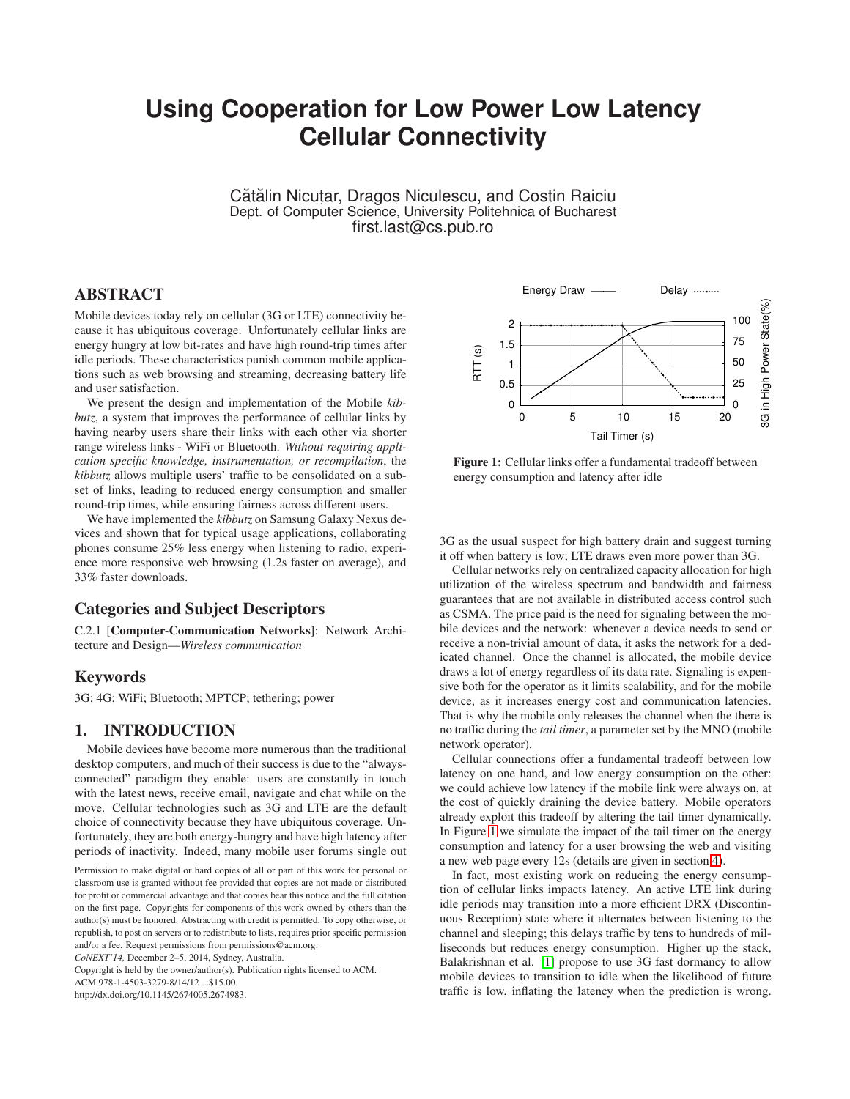# **Using Cooperation for Low Power Low Latency Cellular Connectivity**

Cătălin Nicutar, Dragos Niculescu, and Costin Raiciu Dept. of Computer Science, University Politehnica of Bucharest first.last@cs.pub.ro

# **ABSTRACT**

Mobile devices today rely on cellular (3G or LTE) connectivity because it has ubiquitous coverage. Unfortunately cellular links are energy hungry at low bit-rates and have high round-trip times after idle periods. These characteristics punish common mobile applications such as web browsing and streaming, decreasing battery life and user satisfaction.

We present the design and implementation of the Mobile *kibbutz*, a system that improves the performance of cellular links by having nearby users share their links with each other via shorter range wireless links - WiFi or Bluetooth. *Without requiring application specific knowledge, instrumentation, or recompilation*, the *kibbutz* allows multiple users' traffic to be consolidated on a subset of links, leading to reduced energy consumption and smaller round-trip times, while ensuring fairness across different users.

We have implemented the *kibbutz* on Samsung Galaxy Nexus devices and shown that for typical usage applications, collaborating phones consume 25% less energy when listening to radio, experience more responsive web browsing (1.2s faster on average), and 33% faster downloads.

# **Categories and Subject Descriptors**

C.2.1 [**Computer-Communication Networks**]: Network Architecture and Design—*Wireless communication*

### **Keywords**

3G; 4G; WiFi; Bluetooth; MPTCP; tethering; power

### **1. INTRODUCTION**

Mobile devices have become more numerous than the traditional desktop computers, and much of their success is due to the "alwaysconnected" paradigm they enable: users are constantly in touch with the latest news, receive email, navigate and chat while on the move. Cellular technologies such as 3G and LTE are the default choice of connectivity because they have ubiquitous coverage. Unfortunately, they are both energy-hungry and have high latency after periods of inactivity. Indeed, many mobile user forums single out

Copyright is held by the owner/author(s). Publication rights licensed to ACM.

http://dx.doi.org/10.1145/2674005.2674983.

<span id="page-0-0"></span>

**Figure 1:** Cellular links offer a fundamental tradeoff between energy consumption and latency after idle

3G as the usual suspect for high battery drain and suggest turning it off when battery is low; LTE draws even more power than 3G.

Cellular networks rely on centralized capacity allocation for high utilization of the wireless spectrum and bandwidth and fairness guarantees that are not available in distributed access control such as CSMA. The price paid is the need for signaling between the mobile devices and the network: whenever a device needs to send or receive a non-trivial amount of data, it asks the network for a dedicated channel. Once the channel is allocated, the mobile device draws a lot of energy regardless of its data rate. Signaling is expensive both for the operator as it limits scalability, and for the mobile device, as it increases energy cost and communication latencies. That is why the mobile only releases the channel when the there is no traffic during the *tail timer*, a parameter set by the MNO (mobile network operator).

Cellular connections offer a fundamental tradeoff between low latency on one hand, and low energy consumption on the other: we could achieve low latency if the mobile link were always on, at the cost of quickly draining the device battery. Mobile operators already exploit this tradeoff by altering the tail timer dynamically. In Figure [1](#page-0-0) we simulate the impact of the tail timer on the energy consumption and latency for a user browsing the web and visiting a new web page every 12s (details are given in section [4\)](#page-4-0).

In fact, most existing work on reducing the energy consumption of cellular links impacts latency. An active LTE link during idle periods may transition into a more efficient DRX (Discontinuous Reception) state where it alternates between listening to the channel and sleeping; this delays traffic by tens to hundreds of milliseconds but reduces energy consumption. Higher up the stack, Balakrishnan et al. [\[1\]](#page-10-0) propose to use 3G fast dormancy to allow mobile devices to transition to idle when the likelihood of future traffic is low, inflating the latency when the prediction is wrong.

Permission to make digital or hard copies of all or part of this work for personal or classroom use is granted without fee provided that copies are not made or distributed for profit or commercial advantage and that copies bear this notice and the full citation on the first page. Copyrights for components of this work owned by others than the author(s) must be honored. Abstracting with credit is permitted. To copy otherwise, or republish, to post on servers or to redistribute to lists, requires prior specific permission and/or a fee. Request permissions from permissions@acm.org.

*CoNEXT'14,* December 2–5, 2014, Sydney, Australia.

ACM 978-1-4503-3279-8/14/12 ...\$15.00.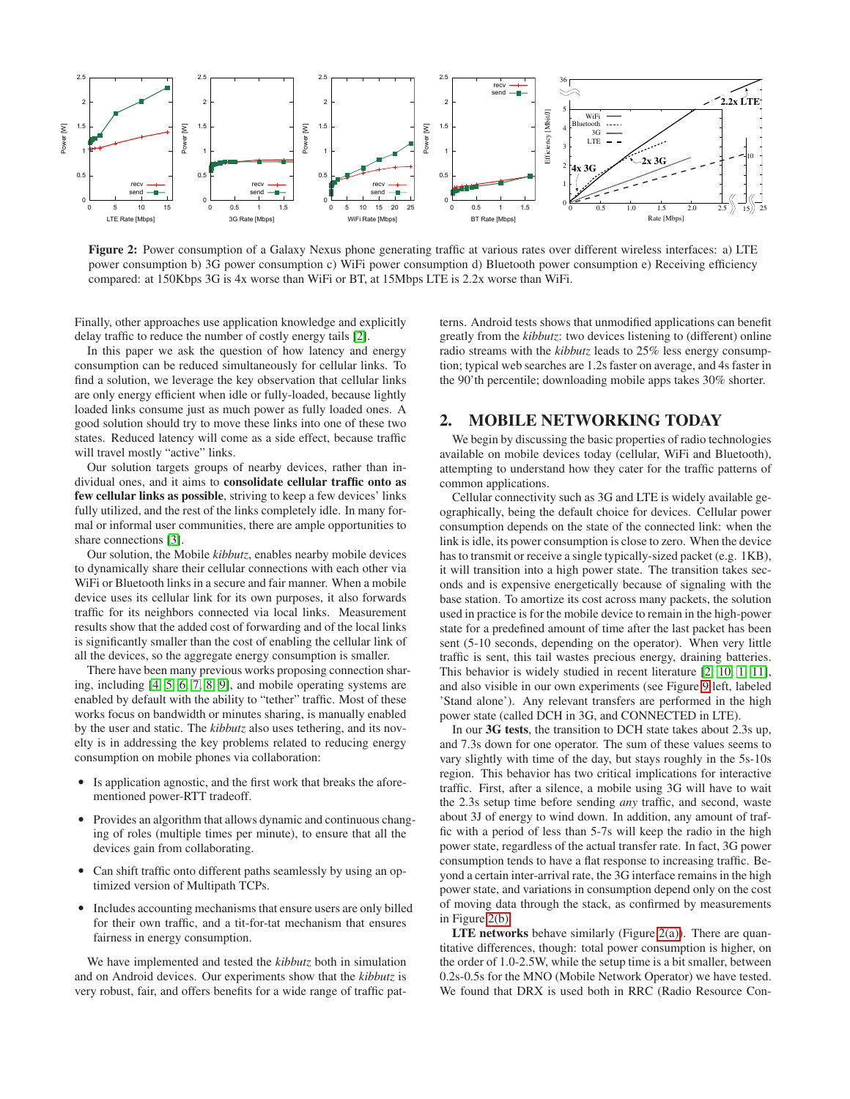

<span id="page-1-1"></span><span id="page-1-0"></span>**Figure 2:** Power consumption of a Galaxy Nexus phone generating traffic at various rates over different wireless interfaces: a) LTE power consumption b) 3G power consumption c) WiFi power consumption d) Bluetooth power consumption e) Receiving efficiency compared: at 150Kbps 3G is 4x worse than WiFi or BT, at 15Mbps LTE is 2.2x worse than WiFi.

Finally, other approaches use application knowledge and explicitly delay traffic to reduce the number of costly energy tails [\[2\]](#page-10-1).

In this paper we ask the question of how latency and energy consumption can be reduced simultaneously for cellular links. To find a solution, we leverage the key observation that cellular links are only energy efficient when idle or fully-loaded, because lightly loaded links consume just as much power as fully loaded ones. A good solution should try to move these links into one of these two states. Reduced latency will come as a side effect, because traffic will travel mostly "active" links.

Our solution targets groups of nearby devices, rather than individual ones, and it aims to **consolidate cellular traffic onto as few cellular links as possible**, striving to keep a few devices' links fully utilized, and the rest of the links completely idle. In many formal or informal user communities, there are ample opportunities to share connections [\[3\]](#page-10-2).

Our solution, the Mobile *kibbutz*, enables nearby mobile devices to dynamically share their cellular connections with each other via WiFi or Bluetooth links in a secure and fair manner. When a mobile device uses its cellular link for its own purposes, it also forwards traffic for its neighbors connected via local links. Measurement results show that the added cost of forwarding and of the local links is significantly smaller than the cost of enabling the cellular link of all the devices, so the aggregate energy consumption is smaller.

There have been many previous works proposing connection sharing, including [\[4,](#page-10-3) [5,](#page-10-4) [6,](#page-10-5) [7,](#page-10-6) [8,](#page-10-7) [9\]](#page-10-8), and mobile operating systems are enabled by default with the ability to "tether" traffic. Most of these works focus on bandwidth or minutes sharing, is manually enabled by the user and static. The *kibbutz* also uses tethering, and its novelty is in addressing the key problems related to reducing energy consumption on mobile phones via collaboration:

- Is application agnostic, and the first work that breaks the aforementioned power-RTT tradeoff.
- Provides an algorithm that allows dynamic and continuous changing of roles (multiple times per minute), to ensure that all the devices gain from collaborating.
- Can shift traffic onto different paths seamlessly by using an optimized version of Multipath TCPs.
- Includes accounting mechanisms that ensure users are only billed for their own traffic, and a tit-for-tat mechanism that ensures fairness in energy consumption.

We have implemented and tested the *kibbutz* both in simulation and on Android devices. Our experiments show that the *kibbutz* is very robust, fair, and offers benefits for a wide range of traffic pat<span id="page-1-4"></span><span id="page-1-3"></span><span id="page-1-2"></span>terns. Android tests shows that unmodified applications can benefit greatly from the *kibbutz*: two devices listening to (different) online radio streams with the *kibbutz* leads to 25% less energy consumption; typical web searches are 1.2s faster on average, and 4s faster in the 90'th percentile; downloading mobile apps takes 30% shorter.

# **2. MOBILE NETWORKING TODAY**

We begin by discussing the basic properties of radio technologies available on mobile devices today (cellular, WiFi and Bluetooth), attempting to understand how they cater for the traffic patterns of common applications.

Cellular connectivity such as 3G and LTE is widely available geographically, being the default choice for devices. Cellular power consumption depends on the state of the connected link: when the link is idle, its power consumption is close to zero. When the device has to transmit or receive a single typically-sized packet (e.g. 1KB), it will transition into a high power state. The transition takes seconds and is expensive energetically because of signaling with the base station. To amortize its cost across many packets, the solution used in practice is for the mobile device to remain in the high-power state for a predefined amount of time after the last packet has been sent (5-10 seconds, depending on the operator). When very little traffic is sent, this tail wastes precious energy, draining batteries. This behavior is widely studied in recent literature [\[2,](#page-10-1) [10,](#page-10-9) [1,](#page-10-0) [11\]](#page-10-10), and also visible in our own experiments (see Figure [9](#page-8-0) left, labeled 'Stand alone'). Any relevant transfers are performed in the high power state (called DCH in 3G, and CONNECTED in LTE).

In our **3G tests**, the transition to DCH state takes about 2.3s up, and 7.3s down for one operator. The sum of these values seems to vary slightly with time of the day, but stays roughly in the 5s-10s region. This behavior has two critical implications for interactive traffic. First, after a silence, a mobile using 3G will have to wait the 2.3s setup time before sending *any* traffic, and second, waste about 3J of energy to wind down. In addition, any amount of traffic with a period of less than 5-7s will keep the radio in the high power state, regardless of the actual transfer rate. In fact, 3G power consumption tends to have a flat response to increasing traffic. Beyond a certain inter-arrival rate, the 3G interface remains in the high power state, and variations in consumption depend only on the cost of moving data through the stack, as confirmed by measurements in Figure [2\(b\).](#page-1-0)

**LTE networks** behave similarly (Figure [2\(a\)\)](#page-1-1). There are quantitative differences, though: total power consumption is higher, on the order of 1.0-2.5W, while the setup time is a bit smaller, between 0.2s-0.5s for the MNO (Mobile Network Operator) we have tested. We found that DRX is used both in RRC (Radio Resource Con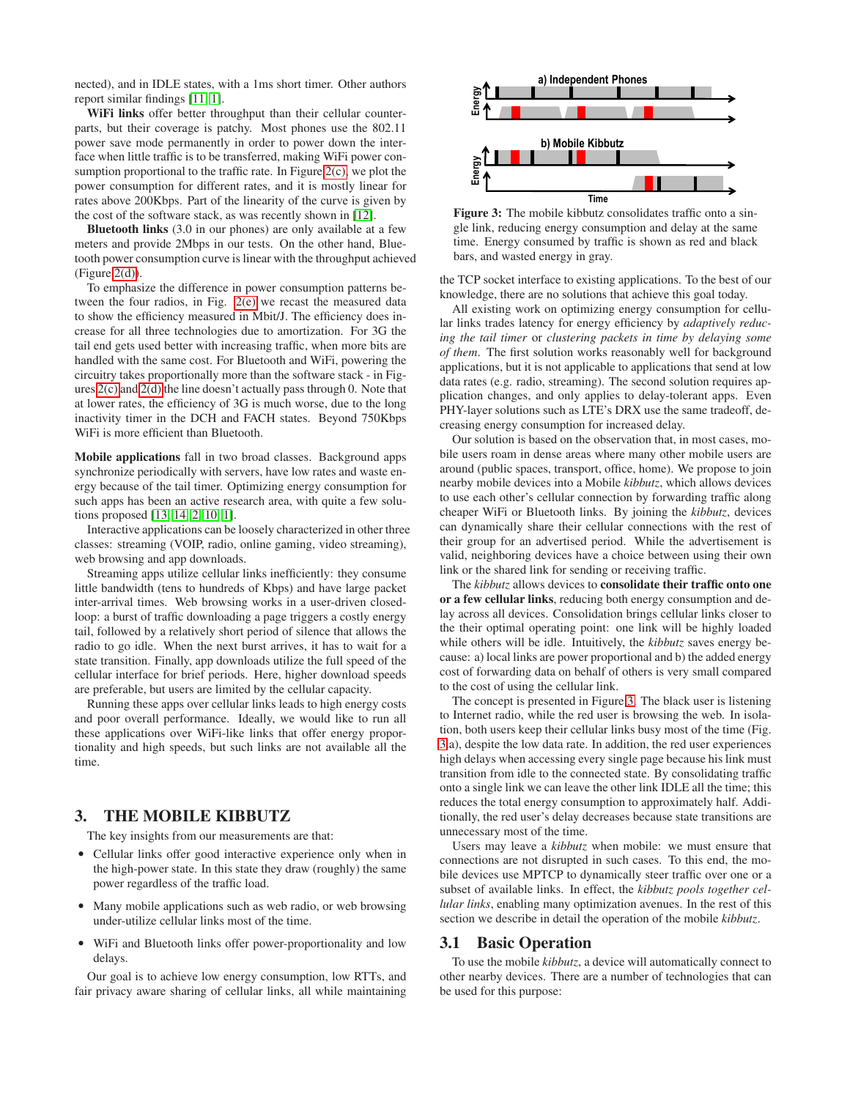nected), and in IDLE states, with a 1ms short timer. Other authors report similar findings [\[11,](#page-10-10) [1\]](#page-10-0).

**WiFi links** offer better throughput than their cellular counterparts, but their coverage is patchy. Most phones use the 802.11 power save mode permanently in order to power down the interface when little traffic is to be transferred, making WiFi power consumption proportional to the traffic rate. In Figure  $2(c)$ , we plot the power consumption for different rates, and it is mostly linear for rates above 200Kbps. Part of the linearity of the curve is given by the cost of the software stack, as was recently shown in [\[12\]](#page-10-11).

**Bluetooth links** (3.0 in our phones) are only available at a few meters and provide 2Mbps in our tests. On the other hand, Bluetooth power consumption curve is linear with the throughput achieved  $(Figure 2(d)).$  $(Figure 2(d)).$  $(Figure 2(d)).$ 

To emphasize the difference in power consumption patterns between the four radios, in Fig. [2\(e\)](#page-1-4) we recast the measured data to show the efficiency measured in Mbit/J. The efficiency does increase for all three technologies due to amortization. For 3G the tail end gets used better with increasing traffic, when more bits are handled with the same cost. For Bluetooth and WiFi, powering the circuitry takes proportionally more than the software stack - in Figures [2\(c\)](#page-1-2) and [2\(d\)](#page-1-3) the line doesn't actually pass through 0. Note that at lower rates, the efficiency of 3G is much worse, due to the long inactivity timer in the DCH and FACH states. Beyond 750Kbps WiFi is more efficient than Bluetooth.

**Mobile applications** fall in two broad classes. Background apps synchronize periodically with servers, have low rates and waste energy because of the tail timer. Optimizing energy consumption for such apps has been an active research area, with quite a few solutions proposed [\[13,](#page-10-12) [14,](#page-11-0) [2,](#page-10-1) [10,](#page-10-9) [1\]](#page-10-0).

Interactive applications can be loosely characterized in other three classes: streaming (VOIP, radio, online gaming, video streaming), web browsing and app downloads.

Streaming apps utilize cellular links inefficiently: they consume little bandwidth (tens to hundreds of Kbps) and have large packet inter-arrival times. Web browsing works in a user-driven closedloop: a burst of traffic downloading a page triggers a costly energy tail, followed by a relatively short period of silence that allows the radio to go idle. When the next burst arrives, it has to wait for a state transition. Finally, app downloads utilize the full speed of the cellular interface for brief periods. Here, higher download speeds are preferable, but users are limited by the cellular capacity.

Running these apps over cellular links leads to high energy costs and poor overall performance. Ideally, we would like to run all these applications over WiFi-like links that offer energy proportionality and high speeds, but such links are not available all the time.

## <span id="page-2-1"></span>**3. THE MOBILE KIBBUTZ**

The key insights from our measurements are that:

- Cellular links offer good interactive experience only when in the high-power state. In this state they draw (roughly) the same power regardless of the traffic load.
- Many mobile applications such as web radio, or web browsing under-utilize cellular links most of the time.
- WiFi and Bluetooth links offer power-proportionality and low delays.

Our goal is to achieve low energy consumption, low RTTs, and fair privacy aware sharing of cellular links, all while maintaining

<span id="page-2-0"></span>

**Figure 3:** The mobile kibbutz consolidates traffic onto a single link, reducing energy consumption and delay at the same time. Energy consumed by traffic is shown as red and black bars, and wasted energy in gray.

the TCP socket interface to existing applications. To the best of our knowledge, there are no solutions that achieve this goal today.

All existing work on optimizing energy consumption for cellular links trades latency for energy efficiency by *adaptively reducing the tail timer* or *clustering packets in time by delaying some of them*. The first solution works reasonably well for background applications, but it is not applicable to applications that send at low data rates (e.g. radio, streaming). The second solution requires application changes, and only applies to delay-tolerant apps. Even PHY-layer solutions such as LTE's DRX use the same tradeoff, decreasing energy consumption for increased delay.

Our solution is based on the observation that, in most cases, mobile users roam in dense areas where many other mobile users are around (public spaces, transport, office, home). We propose to join nearby mobile devices into a Mobile *kibbutz*, which allows devices to use each other's cellular connection by forwarding traffic along cheaper WiFi or Bluetooth links. By joining the *kibbutz*, devices can dynamically share their cellular connections with the rest of their group for an advertised period. While the advertisement is valid, neighboring devices have a choice between using their own link or the shared link for sending or receiving traffic.

The *kibbutz* allows devices to **consolidate their traffic onto one or a few cellular links**, reducing both energy consumption and delay across all devices. Consolidation brings cellular links closer to the their optimal operating point: one link will be highly loaded while others will be idle. Intuitively, the *kibbutz* saves energy because: a) local links are power proportional and b) the added energy cost of forwarding data on behalf of others is very small compared to the cost of using the cellular link.

The concept is presented in Figure [3.](#page-2-0) The black user is listening to Internet radio, while the red user is browsing the web. In isolation, both users keep their cellular links busy most of the time (Fig. [3.](#page-2-0)a), despite the low data rate. In addition, the red user experiences high delays when accessing every single page because his link must transition from idle to the connected state. By consolidating traffic onto a single link we can leave the other link IDLE all the time; this reduces the total energy consumption to approximately half. Additionally, the red user's delay decreases because state transitions are unnecessary most of the time.

Users may leave a *kibbutz* when mobile: we must ensure that connections are not disrupted in such cases. To this end, the mobile devices use MPTCP to dynamically steer traffic over one or a subset of available links. In effect, the *kibbutz pools together cellular links*, enabling many optimization avenues. In the rest of this section we describe in detail the operation of the mobile *kibbutz*.

#### **3.1 Basic Operation**

To use the mobile *kibbutz*, a device will automatically connect to other nearby devices. There are a number of technologies that can be used for this purpose: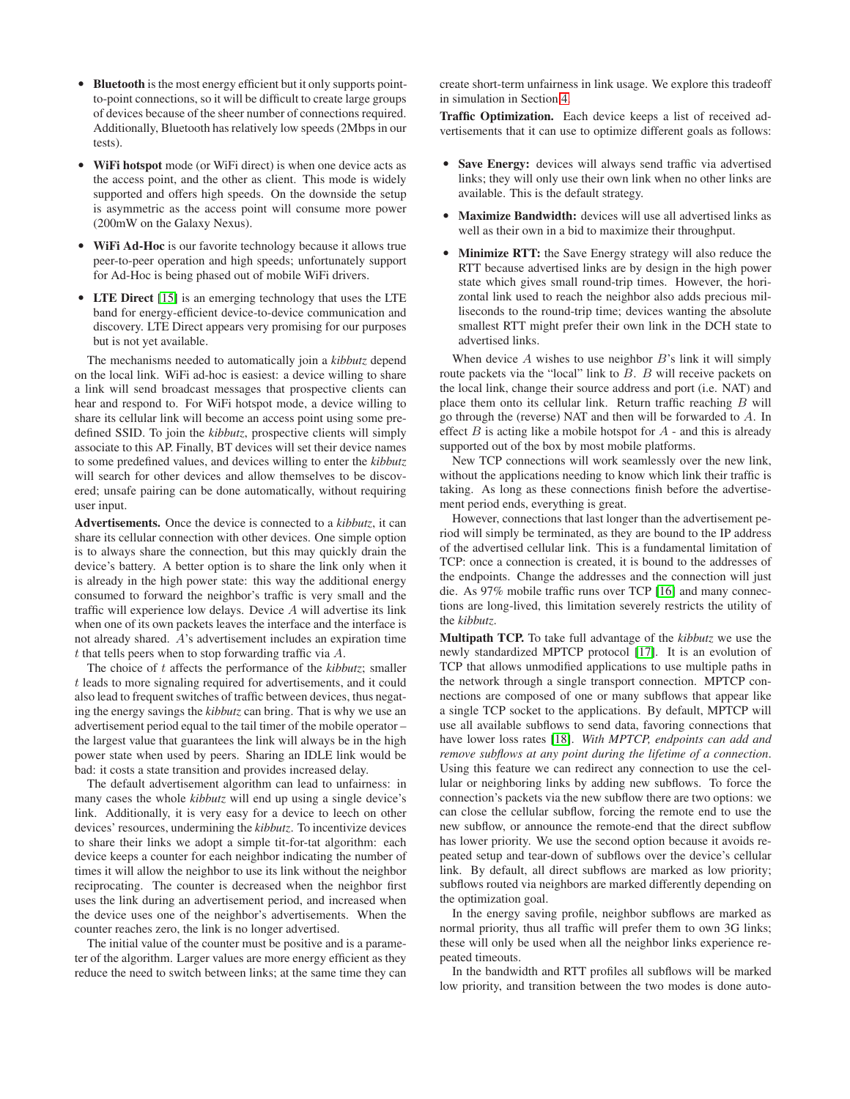- **Bluetooth** is the most energy efficient but it only supports pointto-point connections, so it will be difficult to create large groups of devices because of the sheer number of connections required. Additionally, Bluetooth has relatively low speeds (2Mbps in our tests).
- **WiFi hotspot** mode (or WiFi direct) is when one device acts as the access point, and the other as client. This mode is widely supported and offers high speeds. On the downside the setup is asymmetric as the access point will consume more power (200mW on the Galaxy Nexus).
- **WiFi Ad-Hoc** is our favorite technology because it allows true peer-to-peer operation and high speeds; unfortunately support for Ad-Hoc is being phased out of mobile WiFi drivers.
- **LTE Direct** [\[15\]](#page-11-1) is an emerging technology that uses the LTE band for energy-efficient device-to-device communication and discovery. LTE Direct appears very promising for our purposes but is not yet available.

The mechanisms needed to automatically join a *kibbutz* depend on the local link. WiFi ad-hoc is easiest: a device willing to share a link will send broadcast messages that prospective clients can hear and respond to. For WiFi hotspot mode, a device willing to share its cellular link will become an access point using some predefined SSID. To join the *kibbutz*, prospective clients will simply associate to this AP. Finally, BT devices will set their device names to some predefined values, and devices willing to enter the *kibbutz* will search for other devices and allow themselves to be discovered; unsafe pairing can be done automatically, without requiring user input.

**Advertisements.** Once the device is connected to a *kibbutz*, it can share its cellular connection with other devices. One simple option is to always share the connection, but this may quickly drain the device's battery. A better option is to share the link only when it is already in the high power state: this way the additional energy consumed to forward the neighbor's traffic is very small and the traffic will experience low delays. Device A will advertise its link when one of its own packets leaves the interface and the interface is not already shared. A's advertisement includes an expiration time  $t$  that tells peers when to stop forwarding traffic via  $A$ .

The choice of t affects the performance of the *kibbutz*; smaller t leads to more signaling required for advertisements, and it could also lead to frequent switches of traffic between devices, thus negating the energy savings the *kibbutz* can bring. That is why we use an advertisement period equal to the tail timer of the mobile operator – the largest value that guarantees the link will always be in the high power state when used by peers. Sharing an IDLE link would be bad: it costs a state transition and provides increased delay.

The default advertisement algorithm can lead to unfairness: in many cases the whole *kibbutz* will end up using a single device's link. Additionally, it is very easy for a device to leech on other devices' resources, undermining the *kibbutz*. To incentivize devices to share their links we adopt a simple tit-for-tat algorithm: each device keeps a counter for each neighbor indicating the number of times it will allow the neighbor to use its link without the neighbor reciprocating. The counter is decreased when the neighbor first uses the link during an advertisement period, and increased when the device uses one of the neighbor's advertisements. When the counter reaches zero, the link is no longer advertised.

The initial value of the counter must be positive and is a parameter of the algorithm. Larger values are more energy efficient as they reduce the need to switch between links; at the same time they can create short-term unfairness in link usage. We explore this tradeoff in simulation in Section [4.](#page-4-0)

**Traffic Optimization.** Each device keeps a list of received advertisements that it can use to optimize different goals as follows:

- **Save Energy:** devices will always send traffic via advertised links; they will only use their own link when no other links are available. This is the default strategy.
- **Maximize Bandwidth:** devices will use all advertised links as well as their own in a bid to maximize their throughput.
- **Minimize RTT:** the Save Energy strategy will also reduce the RTT because advertised links are by design in the high power state which gives small round-trip times. However, the horizontal link used to reach the neighbor also adds precious milliseconds to the round-trip time; devices wanting the absolute smallest RTT might prefer their own link in the DCH state to advertised links.

When device  $A$  wishes to use neighbor  $B$ 's link it will simply route packets via the "local" link to B. B will receive packets on the local link, change their source address and port (i.e. NAT) and place them onto its cellular link. Return traffic reaching B will go through the (reverse) NAT and then will be forwarded to A. In effect  $B$  is acting like a mobile hotspot for  $A$  - and this is already supported out of the box by most mobile platforms.

New TCP connections will work seamlessly over the new link, without the applications needing to know which link their traffic is taking. As long as these connections finish before the advertisement period ends, everything is great.

However, connections that last longer than the advertisement period will simply be terminated, as they are bound to the IP address of the advertised cellular link. This is a fundamental limitation of TCP: once a connection is created, it is bound to the addresses of the endpoints. Change the addresses and the connection will just die. As 97% mobile traffic runs over TCP [\[16\]](#page-11-2) and many connections are long-lived, this limitation severely restricts the utility of the *kibbutz*.

**Multipath TCP.** To take full advantage of the *kibbutz* we use the newly standardized MPTCP protocol [\[17\]](#page-11-3). It is an evolution of TCP that allows unmodified applications to use multiple paths in the network through a single transport connection. MPTCP connections are composed of one or many subflows that appear like a single TCP socket to the applications. By default, MPTCP will use all available subflows to send data, favoring connections that have lower loss rates [\[18\]](#page-11-4). *With MPTCP, endpoints can add and remove subflows at any point during the lifetime of a connection*. Using this feature we can redirect any connection to use the cellular or neighboring links by adding new subflows. To force the connection's packets via the new subflow there are two options: we can close the cellular subflow, forcing the remote end to use the new subflow, or announce the remote-end that the direct subflow has lower priority. We use the second option because it avoids repeated setup and tear-down of subflows over the device's cellular link. By default, all direct subflows are marked as low priority; subflows routed via neighbors are marked differently depending on the optimization goal.

In the energy saving profile, neighbor subflows are marked as normal priority, thus all traffic will prefer them to own 3G links; these will only be used when all the neighbor links experience repeated timeouts.

In the bandwidth and RTT profiles all subflows will be marked low priority, and transition between the two modes is done auto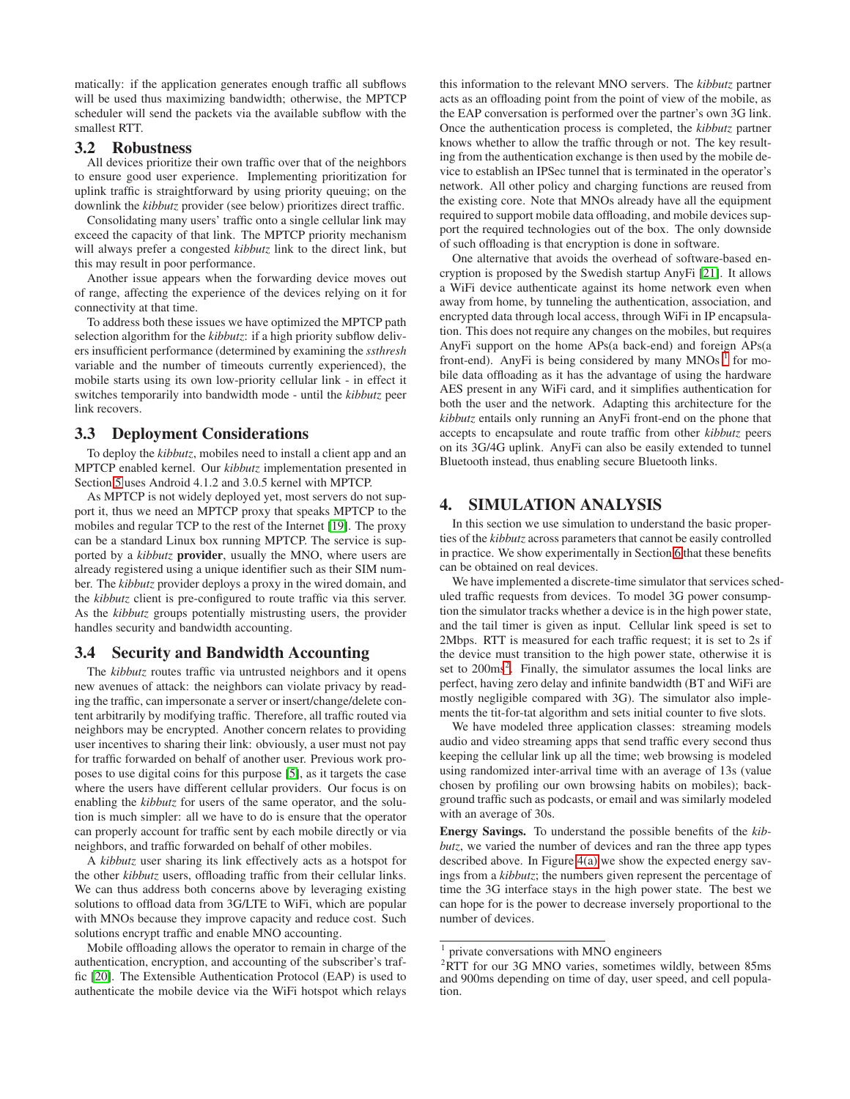matically: if the application generates enough traffic all subflows will be used thus maximizing bandwidth; otherwise, the MPTCP scheduler will send the packets via the available subflow with the smallest RTT.

#### **3.2 Robustness**

All devices prioritize their own traffic over that of the neighbors to ensure good user experience. Implementing prioritization for uplink traffic is straightforward by using priority queuing; on the downlink the *kibbutz* provider (see below) prioritizes direct traffic.

Consolidating many users' traffic onto a single cellular link may exceed the capacity of that link. The MPTCP priority mechanism will always prefer a congested *kibbutz* link to the direct link, but this may result in poor performance.

Another issue appears when the forwarding device moves out of range, affecting the experience of the devices relying on it for connectivity at that time.

To address both these issues we have optimized the MPTCP path selection algorithm for the *kibbutz*: if a high priority subflow delivers insufficient performance (determined by examining the *ssthresh* variable and the number of timeouts currently experienced), the mobile starts using its own low-priority cellular link - in effect it switches temporarily into bandwidth mode - until the *kibbutz* peer link recovers.

### **3.3 Deployment Considerations**

To deploy the *kibbutz*, mobiles need to install a client app and an MPTCP enabled kernel. Our *kibbutz* implementation presented in Section [5](#page-6-0) uses Android 4.1.2 and 3.0.5 kernel with MPTCP.

As MPTCP is not widely deployed yet, most servers do not support it, thus we need an MPTCP proxy that speaks MPTCP to the mobiles and regular TCP to the rest of the Internet [\[19\]](#page-11-5). The proxy can be a standard Linux box running MPTCP. The service is supported by a *kibbutz* **provider**, usually the MNO, where users are already registered using a unique identifier such as their SIM number. The *kibbutz* provider deploys a proxy in the wired domain, and the *kibbutz* client is pre-configured to route traffic via this server. As the *kibbutz* groups potentially mistrusting users, the provider handles security and bandwidth accounting.

## **3.4 Security and Bandwidth Accounting**

The *kibbutz* routes traffic via untrusted neighbors and it opens new avenues of attack: the neighbors can violate privacy by reading the traffic, can impersonate a server or insert/change/delete content arbitrarily by modifying traffic. Therefore, all traffic routed via neighbors may be encrypted. Another concern relates to providing user incentives to sharing their link: obviously, a user must not pay for traffic forwarded on behalf of another user. Previous work proposes to use digital coins for this purpose [\[5\]](#page-10-4), as it targets the case where the users have different cellular providers. Our focus is on enabling the *kibbutz* for users of the same operator, and the solution is much simpler: all we have to do is ensure that the operator can properly account for traffic sent by each mobile directly or via neighbors, and traffic forwarded on behalf of other mobiles.

A *kibbutz* user sharing its link effectively acts as a hotspot for the other *kibbutz* users, offloading traffic from their cellular links. We can thus address both concerns above by leveraging existing solutions to offload data from 3G/LTE to WiFi, which are popular with MNOs because they improve capacity and reduce cost. Such solutions encrypt traffic and enable MNO accounting.

Mobile offloading allows the operator to remain in charge of the authentication, encryption, and accounting of the subscriber's traffic [\[20\]](#page-11-6). The Extensible Authentication Protocol (EAP) is used to authenticate the mobile device via the WiFi hotspot which relays

this information to the relevant MNO servers. The *kibbutz* partner acts as an offloading point from the point of view of the mobile, as the EAP conversation is performed over the partner's own 3G link. Once the authentication process is completed, the *kibbutz* partner knows whether to allow the traffic through or not. The key resulting from the authentication exchange is then used by the mobile device to establish an IPSec tunnel that is terminated in the operator's network. All other policy and charging functions are reused from the existing core. Note that MNOs already have all the equipment required to support mobile data offloading, and mobile devices support the required technologies out of the box. The only downside of such offloading is that encryption is done in software.

One alternative that avoids the overhead of software-based encryption is proposed by the Swedish startup AnyFi [\[21\]](#page-11-7). It allows a WiFi device authenticate against its home network even when away from home, by tunneling the authentication, association, and encrypted data through local access, through WiFi in IP encapsulation. This does not require any changes on the mobiles, but requires AnyFi support on the home APs(a back-end) and foreign APs(a front-end). AnyFi is being considered by many MNOs  $<sup>1</sup>$  $<sup>1</sup>$  $<sup>1</sup>$  for mo-</sup> bile data offloading as it has the advantage of using the hardware AES present in any WiFi card, and it simplifies authentication for both the user and the network. Adapting this architecture for the *kibbutz* entails only running an AnyFi front-end on the phone that accepts to encapsulate and route traffic from other *kibbutz* peers on its 3G/4G uplink. AnyFi can also be easily extended to tunnel Bluetooth instead, thus enabling secure Bluetooth links.

## <span id="page-4-0"></span>**4. SIMULATION ANALYSIS**

In this section we use simulation to understand the basic properties of the *kibbutz* across parameters that cannot be easily controlled in practice. We show experimentally in Section [6](#page-7-0) that these benefits can be obtained on real devices.

We have implemented a discrete-time simulator that services scheduled traffic requests from devices. To model 3G power consumption the simulator tracks whether a device is in the high power state, and the tail timer is given as input. Cellular link speed is set to 2Mbps. RTT is measured for each traffic request; it is set to 2s if the device must transition to the high power state, otherwise it is set to [2](#page-4-2)00ms<sup>2</sup>. Finally, the simulator assumes the local links are perfect, having zero delay and infinite bandwidth (BT and WiFi are mostly negligible compared with 3G). The simulator also implements the tit-for-tat algorithm and sets initial counter to five slots.

We have modeled three application classes: streaming models audio and video streaming apps that send traffic every second thus keeping the cellular link up all the time; web browsing is modeled using randomized inter-arrival time with an average of 13s (value chosen by profiling our own browsing habits on mobiles); background traffic such as podcasts, or email and was similarly modeled with an average of 30s.

**Energy Savings.** To understand the possible benefits of the *kibbutz*, we varied the number of devices and ran the three app types described above. In Figure [4\(a\)](#page-5-0) we show the expected energy savings from a *kibbutz*; the numbers given represent the percentage of time the 3G interface stays in the high power state. The best we can hope for is the power to decrease inversely proportional to the number of devices.

<sup>&</sup>lt;sup>1</sup> private conversations with MNO engineers

<span id="page-4-2"></span><span id="page-4-1"></span><sup>2</sup>RTT for our 3G MNO varies, sometimes wildly, between 85ms and 900ms depending on time of day, user speed, and cell population.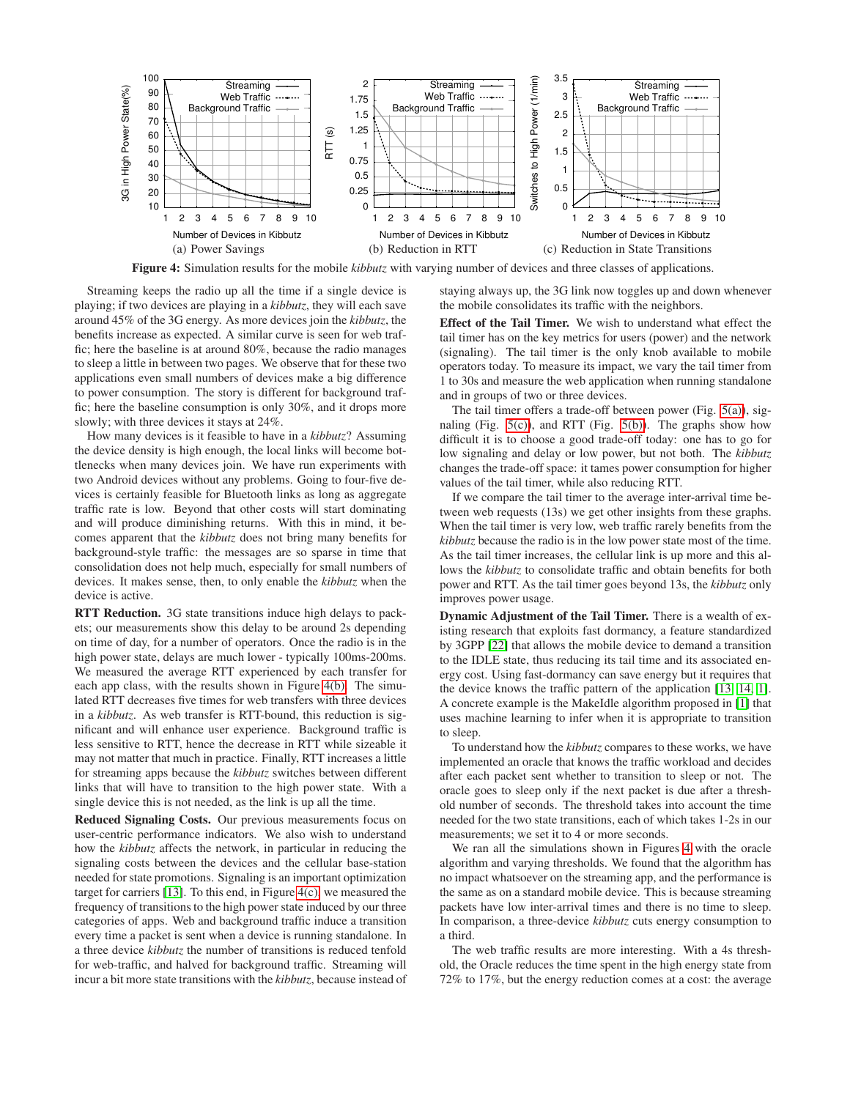<span id="page-5-3"></span><span id="page-5-0"></span>

**Figure 4:** Simulation results for the mobile *kibbutz* with varying number of devices and three classes of applications.

Streaming keeps the radio up all the time if a single device is playing; if two devices are playing in a *kibbutz*, they will each save around 45% of the 3G energy. As more devices join the *kibbutz*, the benefits increase as expected. A similar curve is seen for web traffic; here the baseline is at around 80%, because the radio manages to sleep a little in between two pages. We observe that for these two applications even small numbers of devices make a big difference to power consumption. The story is different for background traffic; here the baseline consumption is only 30%, and it drops more slowly; with three devices it stays at 24%.

How many devices is it feasible to have in a *kibbutz*? Assuming the device density is high enough, the local links will become bottlenecks when many devices join. We have run experiments with two Android devices without any problems. Going to four-five devices is certainly feasible for Bluetooth links as long as aggregate traffic rate is low. Beyond that other costs will start dominating and will produce diminishing returns. With this in mind, it becomes apparent that the *kibbutz* does not bring many benefits for background-style traffic: the messages are so sparse in time that consolidation does not help much, especially for small numbers of devices. It makes sense, then, to only enable the *kibbutz* when the device is active.

**RTT Reduction.** 3G state transitions induce high delays to packets; our measurements show this delay to be around 2s depending on time of day, for a number of operators. Once the radio is in the high power state, delays are much lower - typically 100ms-200ms. We measured the average RTT experienced by each transfer for each app class, with the results shown in Figure [4\(b\).](#page-5-1) The simulated RTT decreases five times for web transfers with three devices in a *kibbutz*. As web transfer is RTT-bound, this reduction is significant and will enhance user experience. Background traffic is less sensitive to RTT, hence the decrease in RTT while sizeable it may not matter that much in practice. Finally, RTT increases a little for streaming apps because the *kibbutz* switches between different links that will have to transition to the high power state. With a single device this is not needed, as the link is up all the time.

**Reduced Signaling Costs.** Our previous measurements focus on user-centric performance indicators. We also wish to understand how the *kibbutz* affects the network, in particular in reducing the signaling costs between the devices and the cellular base-station needed for state promotions. Signaling is an important optimization target for carriers [\[13\]](#page-10-12). To this end, in Figure [4\(c\),](#page-5-2) we measured the frequency of transitions to the high power state induced by our three categories of apps. Web and background traffic induce a transition every time a packet is sent when a device is running standalone. In a three device *kibbutz* the number of transitions is reduced tenfold for web-traffic, and halved for background traffic. Streaming will incur a bit more state transitions with the *kibbutz*, because instead of <span id="page-5-2"></span><span id="page-5-1"></span>staying always up, the 3G link now toggles up and down whenever the mobile consolidates its traffic with the neighbors.

**Effect of the Tail Timer.** We wish to understand what effect the tail timer has on the key metrics for users (power) and the network (signaling). The tail timer is the only knob available to mobile operators today. To measure its impact, we vary the tail timer from 1 to 30s and measure the web application when running standalone and in groups of two or three devices.

The tail timer offers a trade-off between power (Fig. [5\(a\)\)](#page-6-1), signaling (Fig.  $5(c)$ ), and RTT (Fig.  $5(b)$ ). The graphs show how difficult it is to choose a good trade-off today: one has to go for low signaling and delay or low power, but not both. The *kibbutz* changes the trade-off space: it tames power consumption for higher values of the tail timer, while also reducing RTT.

If we compare the tail timer to the average inter-arrival time between web requests (13s) we get other insights from these graphs. When the tail timer is very low, web traffic rarely benefits from the *kibbutz* because the radio is in the low power state most of the time. As the tail timer increases, the cellular link is up more and this allows the *kibbutz* to consolidate traffic and obtain benefits for both power and RTT. As the tail timer goes beyond 13s, the *kibbutz* only improves power usage.

**Dynamic Adjustment of the Tail Timer.** There is a wealth of existing research that exploits fast dormancy, a feature standardized by 3GPP [\[22\]](#page-11-8) that allows the mobile device to demand a transition to the IDLE state, thus reducing its tail time and its associated energy cost. Using fast-dormancy can save energy but it requires that the device knows the traffic pattern of the application [\[13,](#page-10-12) [14,](#page-11-0) [1\]](#page-10-0). A concrete example is the MakeIdle algorithm proposed in [\[1\]](#page-10-0) that uses machine learning to infer when it is appropriate to transition to sleep.

To understand how the *kibbutz* compares to these works, we have implemented an oracle that knows the traffic workload and decides after each packet sent whether to transition to sleep or not. The oracle goes to sleep only if the next packet is due after a threshold number of seconds. The threshold takes into account the time needed for the two state transitions, each of which takes 1-2s in our measurements; we set it to 4 or more seconds.

We ran all the simulations shown in Figures [4](#page-5-3) with the oracle algorithm and varying thresholds. We found that the algorithm has no impact whatsoever on the streaming app, and the performance is the same as on a standard mobile device. This is because streaming packets have low inter-arrival times and there is no time to sleep. In comparison, a three-device *kibbutz* cuts energy consumption to a third.

The web traffic results are more interesting. With a 4s threshold, the Oracle reduces the time spent in the high energy state from 72% to 17%, but the energy reduction comes at a cost: the average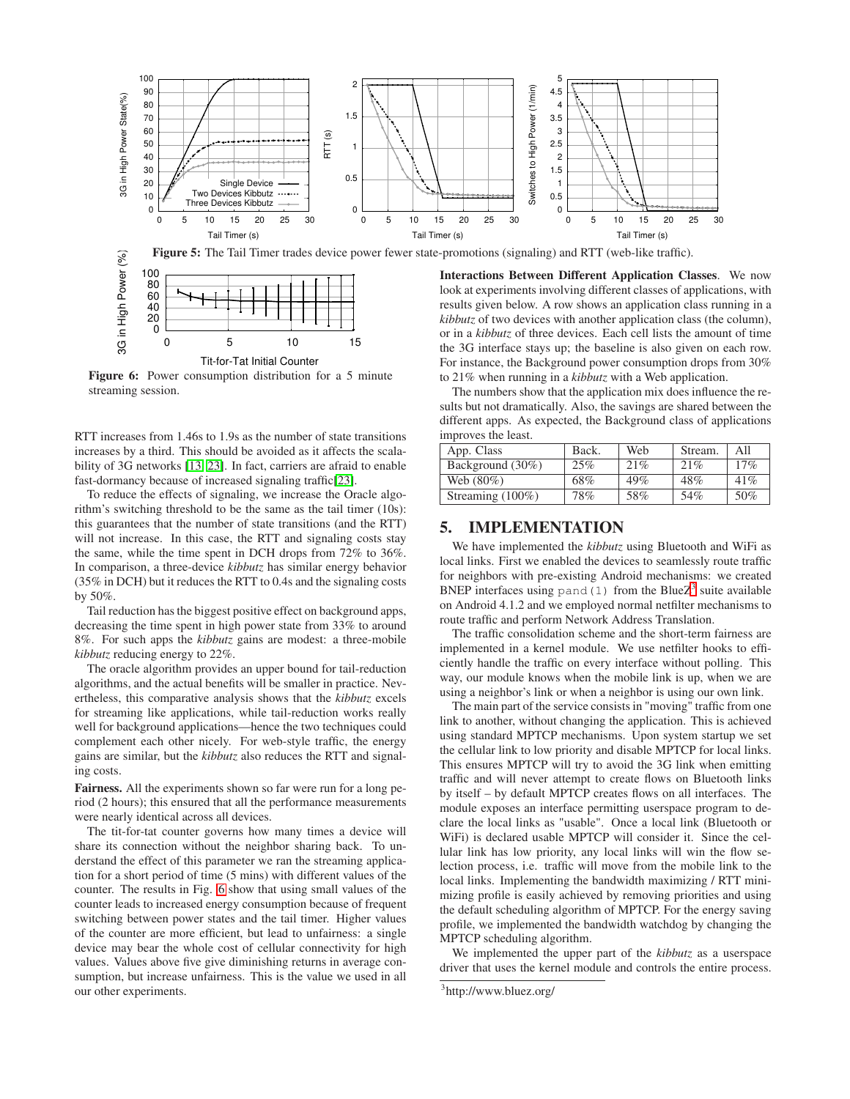<span id="page-6-1"></span>

Tit-for-Tat Initial Counter **Figure 6:** Power consumption distribution for a 5 minute streaming session.

0 5 10 15

<span id="page-6-4"></span>0

RTT increases from 1.46s to 1.9s as the number of state transitions increases by a third. This should be avoided as it affects the scalability of 3G networks [\[13,](#page-10-12) [23\]](#page-11-9). In fact, carriers are afraid to enable fast-dormancy because of increased signaling traffic[\[23\]](#page-11-9).

To reduce the effects of signaling, we increase the Oracle algorithm's switching threshold to be the same as the tail timer (10s): this guarantees that the number of state transitions (and the RTT) will not increase. In this case, the RTT and signaling costs stay the same, while the time spent in DCH drops from 72% to 36%. In comparison, a three-device *kibbutz* has similar energy behavior (35% in DCH) but it reduces the RTT to 0.4s and the signaling costs by 50%.

Tail reduction has the biggest positive effect on background apps, decreasing the time spent in high power state from 33% to around 8%. For such apps the *kibbutz* gains are modest: a three-mobile *kibbutz* reducing energy to 22%.

The oracle algorithm provides an upper bound for tail-reduction algorithms, and the actual benefits will be smaller in practice. Nevertheless, this comparative analysis shows that the *kibbutz* excels for streaming like applications, while tail-reduction works really well for background applications—hence the two techniques could complement each other nicely. For web-style traffic, the energy gains are similar, but the *kibbutz* also reduces the RTT and signaling costs.

**Fairness.** All the experiments shown so far were run for a long period (2 hours); this ensured that all the performance measurements were nearly identical across all devices.

The tit-for-tat counter governs how many times a device will share its connection without the neighbor sharing back. To understand the effect of this parameter we ran the streaming application for a short period of time (5 mins) with different values of the counter. The results in Fig. [6](#page-6-4) show that using small values of the counter leads to increased energy consumption because of frequent switching between power states and the tail timer. Higher values of the counter are more efficient, but lead to unfairness: a single device may bear the whole cost of cellular connectivity for high values. Values above five give diminishing returns in average consumption, but increase unfairness. This is the value we used in all our other experiments.

<span id="page-6-3"></span><span id="page-6-2"></span>look at experiments involving different classes of applications, with results given below. A row shows an application class running in a *kibbutz* of two devices with another application class (the column), or in a *kibbutz* of three devices. Each cell lists the amount of time the 3G interface stays up; the baseline is also given on each row. For instance, the Background power consumption drops from 30% to 21% when running in a *kibbutz* with a Web application.

The numbers show that the application mix does influence the results but not dramatically. Also, the savings are shared between the different apps. As expected, the Background class of applications improves the least.

| App. Class          | Back. | Web | Stream. | All |
|---------------------|-------|-----|---------|-----|
| Background (30%)    | 25%   | 21% | 21%     | 17% |
| Web $(80\%)$        | 68%   | 49% | 48%     | 41% |
| Streaming $(100\%)$ | 78%   | 58% | 54%     | 50% |

## <span id="page-6-0"></span>**5. IMPLEMENTATION**

We have implemented the *kibbutz* using Bluetooth and WiFi as local links. First we enabled the devices to seamlessly route traffic for neighbors with pre-existing Android mechanisms: we created BNEP interfaces using pand (1) from the Blue $Z<sup>3</sup>$  $Z<sup>3</sup>$  $Z<sup>3</sup>$  suite available on Android 4.1.2 and we employed normal netfilter mechanisms to route traffic and perform Network Address Translation.

The traffic consolidation scheme and the short-term fairness are implemented in a kernel module. We use netfilter hooks to efficiently handle the traffic on every interface without polling. This way, our module knows when the mobile link is up, when we are using a neighbor's link or when a neighbor is using our own link.

The main part of the service consists in "moving" traffic from one link to another, without changing the application. This is achieved using standard MPTCP mechanisms. Upon system startup we set the cellular link to low priority and disable MPTCP for local links. This ensures MPTCP will try to avoid the 3G link when emitting traffic and will never attempt to create flows on Bluetooth links by itself – by default MPTCP creates flows on all interfaces. The module exposes an interface permitting userspace program to declare the local links as "usable". Once a local link (Bluetooth or WiFi) is declared usable MPTCP will consider it. Since the cellular link has low priority, any local links will win the flow selection process, i.e. traffic will move from the mobile link to the local links. Implementing the bandwidth maximizing / RTT minimizing profile is easily achieved by removing priorities and using the default scheduling algorithm of MPTCP. For the energy saving profile, we implemented the bandwidth watchdog by changing the MPTCP scheduling algorithm.

We implemented the upper part of the *kibbutz* as a userspace driver that uses the kernel module and controls the entire process.

<span id="page-6-5"></span><sup>&</sup>lt;sup>3</sup>http://www.bluez.org/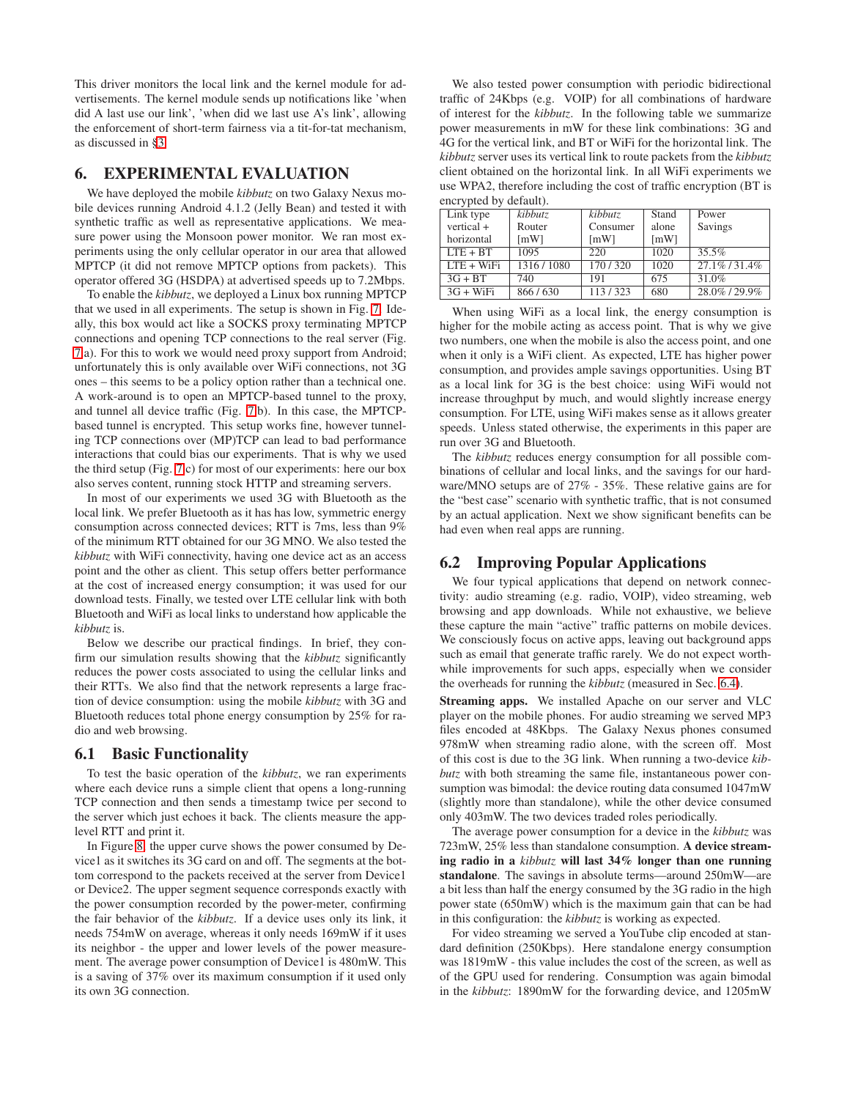This driver monitors the local link and the kernel module for advertisements. The kernel module sends up notifications like 'when did A last use our link', 'when did we last use A's link', allowing the enforcement of short-term fairness via a tit-for-tat mechanism, as discussed in [§3.](#page-2-1)

## <span id="page-7-0"></span>**6. EXPERIMENTAL EVALUATION**

We have deployed the mobile *kibbutz* on two Galaxy Nexus mobile devices running Android 4.1.2 (Jelly Bean) and tested it with synthetic traffic as well as representative applications. We measure power using the Monsoon power monitor. We ran most experiments using the only cellular operator in our area that allowed MPTCP (it did not remove MPTCP options from packets). This operator offered 3G (HSDPA) at advertised speeds up to 7.2Mbps.

To enable the *kibbutz*, we deployed a Linux box running MPTCP that we used in all experiments. The setup is shown in Fig. [7.](#page-8-0) Ideally, this box would act like a SOCKS proxy terminating MPTCP connections and opening TCP connections to the real server (Fig. [7.](#page-8-0)a). For this to work we would need proxy support from Android; unfortunately this is only available over WiFi connections, not 3G ones – this seems to be a policy option rather than a technical one. A work-around is to open an MPTCP-based tunnel to the proxy, and tunnel all device traffic (Fig. [7.](#page-8-0)b). In this case, the MPTCPbased tunnel is encrypted. This setup works fine, however tunneling TCP connections over (MP)TCP can lead to bad performance interactions that could bias our experiments. That is why we used the third setup (Fig. [7.](#page-8-0)c) for most of our experiments: here our box also serves content, running stock HTTP and streaming servers.

In most of our experiments we used 3G with Bluetooth as the local link. We prefer Bluetooth as it has has low, symmetric energy consumption across connected devices; RTT is 7ms, less than 9% of the minimum RTT obtained for our 3G MNO. We also tested the *kibbutz* with WiFi connectivity, having one device act as an access point and the other as client. This setup offers better performance at the cost of increased energy consumption; it was used for our download tests. Finally, we tested over LTE cellular link with both Bluetooth and WiFi as local links to understand how applicable the *kibbutz* is.

Below we describe our practical findings. In brief, they confirm our simulation results showing that the *kibbutz* significantly reduces the power costs associated to using the cellular links and their RTTs. We also find that the network represents a large fraction of device consumption: using the mobile *kibbutz* with 3G and Bluetooth reduces total phone energy consumption by 25% for radio and web browsing.

#### **6.1 Basic Functionality**

To test the basic operation of the *kibbutz*, we ran experiments where each device runs a simple client that opens a long-running TCP connection and then sends a timestamp twice per second to the server which just echoes it back. The clients measure the applevel RTT and print it.

In Figure [8,](#page-8-0) the upper curve shows the power consumed by Device1 as it switches its 3G card on and off. The segments at the bottom correspond to the packets received at the server from Device1 or Device2. The upper segment sequence corresponds exactly with the power consumption recorded by the power-meter, confirming the fair behavior of the *kibbutz*. If a device uses only its link, it needs 754mW on average, whereas it only needs 169mW if it uses its neighbor - the upper and lower levels of the power measurement. The average power consumption of Device1 is 480mW. This is a saving of 37% over its maximum consumption if it used only its own 3G connection.

We also tested power consumption with periodic bidirectional traffic of 24Kbps (e.g. VOIP) for all combinations of hardware of interest for the *kibbutz*. In the following table we summarize power measurements in mW for these link combinations: 3G and 4G for the vertical link, and BT or WiFi for the horizontal link. The *kibbutz* server uses its vertical link to route packets from the *kibbutz* client obtained on the horizontal link. In all WiFi experiments we use WPA2, therefore including the cost of traffic encryption (BT is encrypted by default).

| Link type    | kibbutz            | kibbutz            | Stand              | Power            |
|--------------|--------------------|--------------------|--------------------|------------------|
| vertical +   | Router             | Consumer           | alone              | Savings          |
| horizontal   | $\lceil mW \rceil$ | $\lceil mW \rceil$ | $\lceil mW \rceil$ |                  |
| $ITF + BT$   | 1095               | 220                | 1020               | $35.5\%$         |
| $ITE + WiFi$ | 1316/1080          | 170/320            | 1020               | $27.1\%$ / 31.4% |
| $3G + BT$    | 740                | 191                | 675                | 31.0%            |
| $3G + WiFi$  | 866/630            | 113/323            | 680                | 28.0%/29.9%      |

When using WiFi as a local link, the energy consumption is higher for the mobile acting as access point. That is why we give two numbers, one when the mobile is also the access point, and one when it only is a WiFi client. As expected, LTE has higher power consumption, and provides ample savings opportunities. Using BT as a local link for 3G is the best choice: using WiFi would not increase throughput by much, and would slightly increase energy consumption. For LTE, using WiFi makes sense as it allows greater speeds. Unless stated otherwise, the experiments in this paper are run over 3G and Bluetooth.

The *kibbutz* reduces energy consumption for all possible combinations of cellular and local links, and the savings for our hardware/MNO setups are of 27% - 35%. These relative gains are for the "best case" scenario with synthetic traffic, that is not consumed by an actual application. Next we show significant benefits can be had even when real apps are running.

## **6.2 Improving Popular Applications**

We four typical applications that depend on network connectivity: audio streaming (e.g. radio, VOIP), video streaming, web browsing and app downloads. While not exhaustive, we believe these capture the main "active" traffic patterns on mobile devices. We consciously focus on active apps, leaving out background apps such as email that generate traffic rarely. We do not expect worthwhile improvements for such apps, especially when we consider the overheads for running the *kibbutz* (measured in Sec. [6.4\)](#page-9-0).

**Streaming apps.** We installed Apache on our server and VLC player on the mobile phones. For audio streaming we served MP3 files encoded at 48Kbps. The Galaxy Nexus phones consumed 978mW when streaming radio alone, with the screen off. Most of this cost is due to the 3G link. When running a two-device *kibbutz* with both streaming the same file, instantaneous power consumption was bimodal: the device routing data consumed 1047mW (slightly more than standalone), while the other device consumed only 403mW. The two devices traded roles periodically.

The average power consumption for a device in the *kibbutz* was 723mW, 25% less than standalone consumption. **A device streaming radio in a** *kibbutz* **will last 34% longer than one running standalone**. The savings in absolute terms—around 250mW—are a bit less than half the energy consumed by the 3G radio in the high power state (650mW) which is the maximum gain that can be had in this configuration: the *kibbutz* is working as expected.

For video streaming we served a YouTube clip encoded at standard definition (250Kbps). Here standalone energy consumption was 1819mW - this value includes the cost of the screen, as well as of the GPU used for rendering. Consumption was again bimodal in the *kibbutz*: 1890mW for the forwarding device, and 1205mW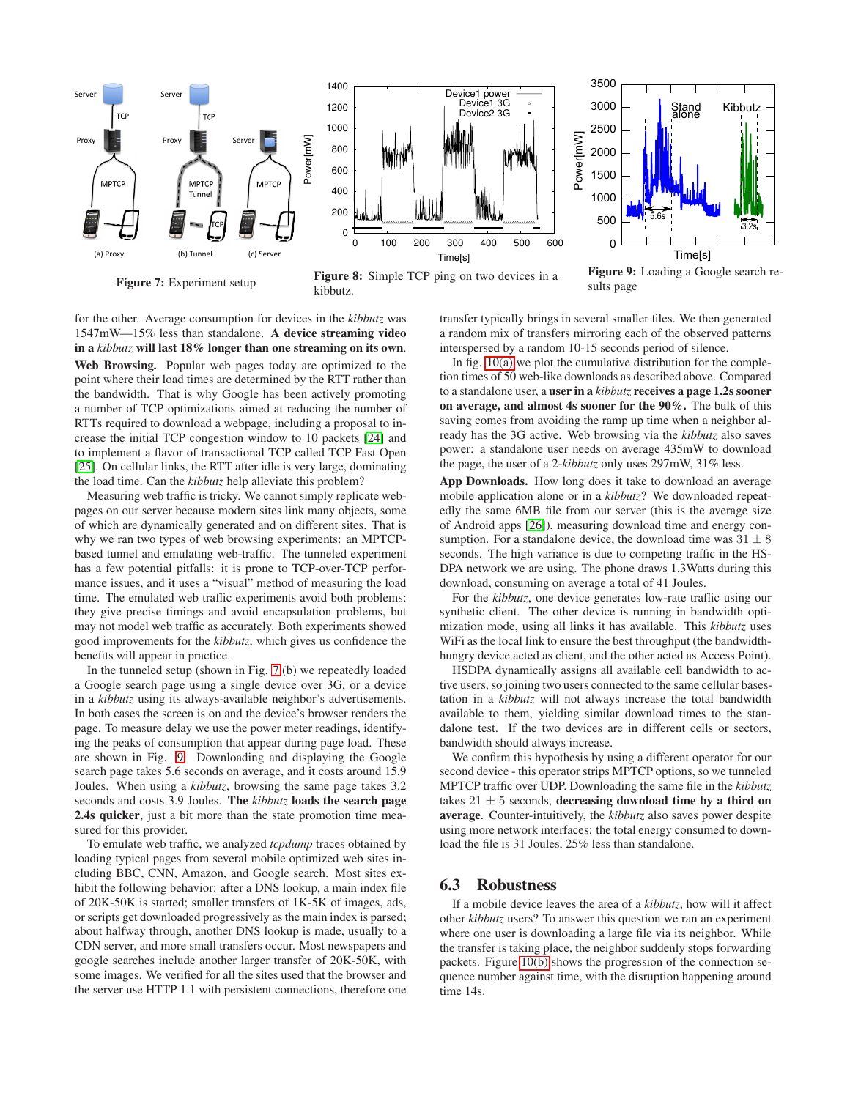<span id="page-8-0"></span>

**Figure 7:** Experiment setup

**Figure 8:** Simple TCP ping on two devices in a kibbutz.

**Figure 9:** Loading a Google search results page

for the other. Average consumption for devices in the *kibbutz* was 1547mW—15% less than standalone. **A device streaming video in a** *kibbutz* **will last 18% longer than one streaming on its own**. **Web Browsing.** Popular web pages today are optimized to the point where their load times are determined by the RTT rather than the bandwidth. That is why Google has been actively promoting a number of TCP optimizations aimed at reducing the number of RTTs required to download a webpage, including a proposal to increase the initial TCP congestion window to 10 packets [\[24\]](#page-11-10) and to implement a flavor of transactional TCP called TCP Fast Open [\[25\]](#page-11-11). On cellular links, the RTT after idle is very large, dominating the load time. Can the *kibbutz* help alleviate this problem?

Measuring web traffic is tricky. We cannot simply replicate webpages on our server because modern sites link many objects, some of which are dynamically generated and on different sites. That is why we ran two types of web browsing experiments: an MPTCPbased tunnel and emulating web-traffic. The tunneled experiment has a few potential pitfalls: it is prone to TCP-over-TCP performance issues, and it uses a "visual" method of measuring the load time. The emulated web traffic experiments avoid both problems: they give precise timings and avoid encapsulation problems, but may not model web traffic as accurately. Both experiments showed good improvements for the *kibbutz*, which gives us confidence the benefits will appear in practice.

In the tunneled setup (shown in Fig. [7.](#page-8-0)(b) we repeatedly loaded a Google search page using a single device over 3G, or a device in a *kibbutz* using its always-available neighbor's advertisements. In both cases the screen is on and the device's browser renders the page. To measure delay we use the power meter readings, identifying the peaks of consumption that appear during page load. These are shown in Fig. [9.](#page-8-0) Downloading and displaying the Google search page takes 5.6 seconds on average, and it costs around 15.9 Joules. When using a *kibbutz*, browsing the same page takes 3.2 seconds and costs 3.9 Joules. **The** *kibbutz* **loads the search page 2.4s quicker**, just a bit more than the state promotion time measured for this provider.

To emulate web traffic, we analyzed *tcpdump* traces obtained by loading typical pages from several mobile optimized web sites including BBC, CNN, Amazon, and Google search. Most sites exhibit the following behavior: after a DNS lookup, a main index file of 20K-50K is started; smaller transfers of 1K-5K of images, ads, or scripts get downloaded progressively as the main index is parsed; about halfway through, another DNS lookup is made, usually to a CDN server, and more small transfers occur. Most newspapers and google searches include another larger transfer of 20K-50K, with some images. We verified for all the sites used that the browser and the server use HTTP 1.1 with persistent connections, therefore one

transfer typically brings in several smaller files. We then generated a random mix of transfers mirroring each of the observed patterns interspersed by a random 10-15 seconds period of silence.

In fig.  $10(a)$  we plot the cumulative distribution for the completion times of 50 web-like downloads as described above. Compared to a standalone user, a **user in a** *kibbutz* **receives a page 1.2s sooner on average, and almost 4s sooner for the 90%.** The bulk of this saving comes from avoiding the ramp up time when a neighbor already has the 3G active. Web browsing via the *kibbutz* also saves power: a standalone user needs on average 435mW to download the page, the user of a 2-*kibbutz* only uses 297mW, 31% less.

**App Downloads.** How long does it take to download an average mobile application alone or in a *kibbutz*? We downloaded repeatedly the same 6MB file from our server (this is the average size of Android apps [\[26\]](#page-11-12)), measuring download time and energy consumption. For a standalone device, the download time was  $31 \pm 8$ seconds. The high variance is due to competing traffic in the HS-DPA network we are using. The phone draws 1.3Watts during this download, consuming on average a total of 41 Joules.

For the *kibbutz*, one device generates low-rate traffic using our synthetic client. The other device is running in bandwidth optimization mode, using all links it has available. This *kibbutz* uses WiFi as the local link to ensure the best throughput (the bandwidthhungry device acted as client, and the other acted as Access Point).

HSDPA dynamically assigns all available cell bandwidth to active users, so joining two users connected to the same cellular basestation in a *kibbutz* will not always increase the total bandwidth available to them, yielding similar download times to the standalone test. If the two devices are in different cells or sectors, bandwidth should always increase.

We confirm this hypothesis by using a different operator for our second device - this operator strips MPTCP options, so we tunneled MPTCP traffic over UDP. Downloading the same file in the *kibbutz* takes  $21 \pm 5$  seconds, **decreasing download time by a third on average**. Counter-intuitively, the *kibbutz* also saves power despite using more network interfaces: the total energy consumed to download the file is 31 Joules, 25% less than standalone.

### **6.3 Robustness**

If a mobile device leaves the area of a *kibbutz*, how will it affect other *kibbutz* users? To answer this question we ran an experiment where one user is downloading a large file via its neighbor. While the transfer is taking place, the neighbor suddenly stops forwarding packets. Figure [10\(b\)](#page-9-2) shows the progression of the connection sequence number against time, with the disruption happening around time 14s.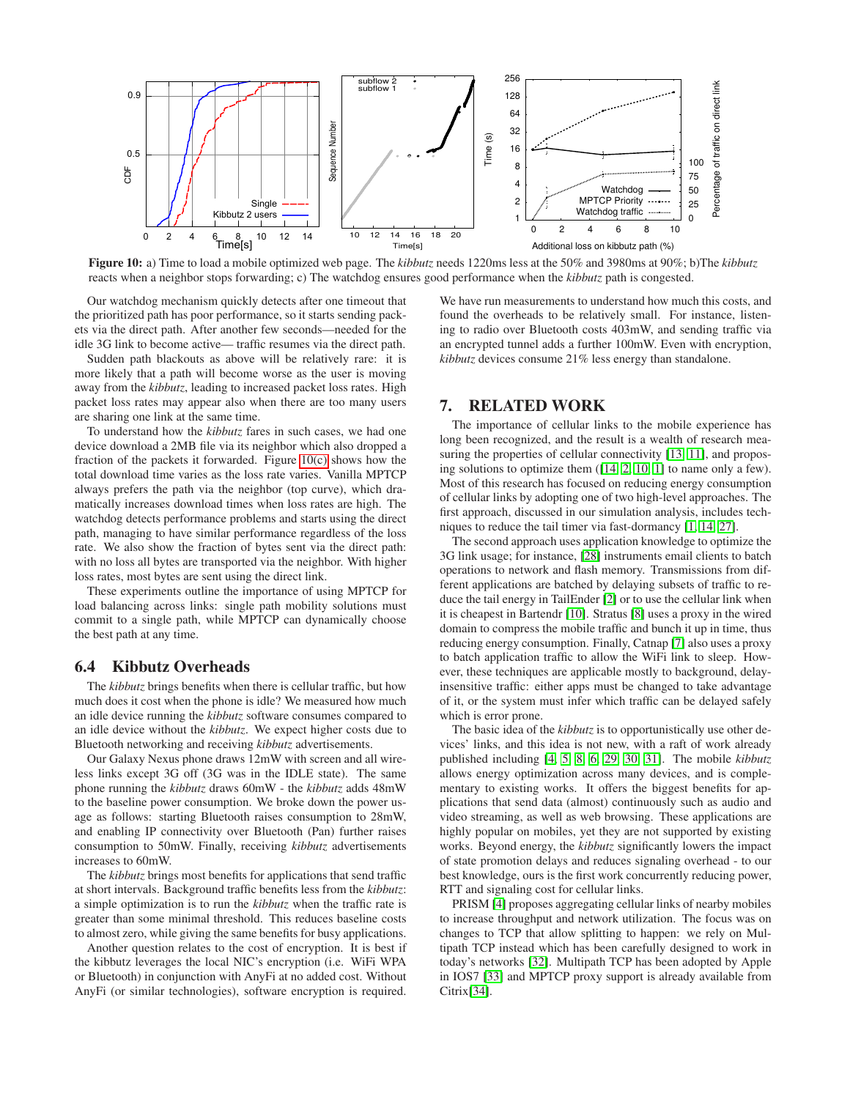<span id="page-9-1"></span>

**Figure 10:** a) Time to load a mobile optimized web page. The *kibbutz* needs 1220ms less at the 50% and 3980ms at 90%; b)The *kibbutz* reacts when a neighbor stops forwarding; c) The watchdog ensures good performance when the *kibbutz* path is congested.

Our watchdog mechanism quickly detects after one timeout that the prioritized path has poor performance, so it starts sending packets via the direct path. After another few seconds—needed for the idle 3G link to become active— traffic resumes via the direct path.

Sudden path blackouts as above will be relatively rare: it is more likely that a path will become worse as the user is moving away from the *kibbutz*, leading to increased packet loss rates. High packet loss rates may appear also when there are too many users are sharing one link at the same time.

To understand how the *kibbutz* fares in such cases, we had one device download a 2MB file via its neighbor which also dropped a fraction of the packets it forwarded. Figure [10\(c\)](#page-9-3) shows how the total download time varies as the loss rate varies. Vanilla MPTCP always prefers the path via the neighbor (top curve), which dramatically increases download times when loss rates are high. The watchdog detects performance problems and starts using the direct path, managing to have similar performance regardless of the loss rate. We also show the fraction of bytes sent via the direct path: with no loss all bytes are transported via the neighbor. With higher loss rates, most bytes are sent using the direct link.

These experiments outline the importance of using MPTCP for load balancing across links: single path mobility solutions must commit to a single path, while MPTCP can dynamically choose the best path at any time.

#### <span id="page-9-0"></span>**6.4 Kibbutz Overheads**

The *kibbutz* brings benefits when there is cellular traffic, but how much does it cost when the phone is idle? We measured how much an idle device running the *kibbutz* software consumes compared to an idle device without the *kibbutz*. We expect higher costs due to Bluetooth networking and receiving *kibbutz* advertisements.

Our Galaxy Nexus phone draws 12mW with screen and all wireless links except 3G off (3G was in the IDLE state). The same phone running the *kibbutz* draws 60mW - the *kibbutz* adds 48mW to the baseline power consumption. We broke down the power usage as follows: starting Bluetooth raises consumption to 28mW, and enabling IP connectivity over Bluetooth (Pan) further raises consumption to 50mW. Finally, receiving *kibbutz* advertisements increases to 60mW.

The *kibbutz* brings most benefits for applications that send traffic at short intervals. Background traffic benefits less from the *kibbutz*: a simple optimization is to run the *kibbutz* when the traffic rate is greater than some minimal threshold. This reduces baseline costs to almost zero, while giving the same benefits for busy applications.

Another question relates to the cost of encryption. It is best if the kibbutz leverages the local NIC's encryption (i.e. WiFi WPA or Bluetooth) in conjunction with AnyFi at no added cost. Without AnyFi (or similar technologies), software encryption is required.

<span id="page-9-3"></span><span id="page-9-2"></span>We have run measurements to understand how much this costs, and found the overheads to be relatively small. For instance, listening to radio over Bluetooth costs 403mW, and sending traffic via an encrypted tunnel adds a further 100mW. Even with encryption, *kibbutz* devices consume 21% less energy than standalone.

#### **7. RELATED WORK**

The importance of cellular links to the mobile experience has long been recognized, and the result is a wealth of research mea-suring the properties of cellular connectivity [\[13,](#page-10-12) [11\]](#page-10-10), and proposing solutions to optimize them ([\[14,](#page-11-0) [2,](#page-10-1) [10,](#page-10-9) [1\]](#page-10-0) to name only a few). Most of this research has focused on reducing energy consumption of cellular links by adopting one of two high-level approaches. The first approach, discussed in our simulation analysis, includes techniques to reduce the tail timer via fast-dormancy [\[1,](#page-10-0) [14,](#page-11-0) [27\]](#page-11-13).

The second approach uses application knowledge to optimize the 3G link usage; for instance, [\[28\]](#page-11-14) instruments email clients to batch operations to network and flash memory. Transmissions from different applications are batched by delaying subsets of traffic to reduce the tail energy in TailEnder [\[2\]](#page-10-1) or to use the cellular link when it is cheapest in Bartendr [\[10\]](#page-10-9). Stratus [\[8\]](#page-10-7) uses a proxy in the wired domain to compress the mobile traffic and bunch it up in time, thus reducing energy consumption. Finally, Catnap [\[7\]](#page-10-6) also uses a proxy to batch application traffic to allow the WiFi link to sleep. However, these techniques are applicable mostly to background, delayinsensitive traffic: either apps must be changed to take advantage of it, or the system must infer which traffic can be delayed safely which is error prone.

The basic idea of the *kibbutz* is to opportunistically use other devices' links, and this idea is not new, with a raft of work already published including [\[4,](#page-10-3) [5,](#page-10-4) [8,](#page-10-7) [6,](#page-10-5) [29,](#page-11-15) [30,](#page-11-16) [31\]](#page-11-17). The mobile *kibbutz* allows energy optimization across many devices, and is complementary to existing works. It offers the biggest benefits for applications that send data (almost) continuously such as audio and video streaming, as well as web browsing. These applications are highly popular on mobiles, yet they are not supported by existing works. Beyond energy, the *kibbutz* significantly lowers the impact of state promotion delays and reduces signaling overhead - to our best knowledge, ours is the first work concurrently reducing power, RTT and signaling cost for cellular links.

PRISM [\[4\]](#page-10-3) proposes aggregating cellular links of nearby mobiles to increase throughput and network utilization. The focus was on changes to TCP that allow splitting to happen: we rely on Multipath TCP instead which has been carefully designed to work in today's networks [\[32\]](#page-11-18). Multipath TCP has been adopted by Apple in IOS7 [\[33\]](#page-11-19) and MPTCP proxy support is already available from Citrix[\[34\]](#page-11-20).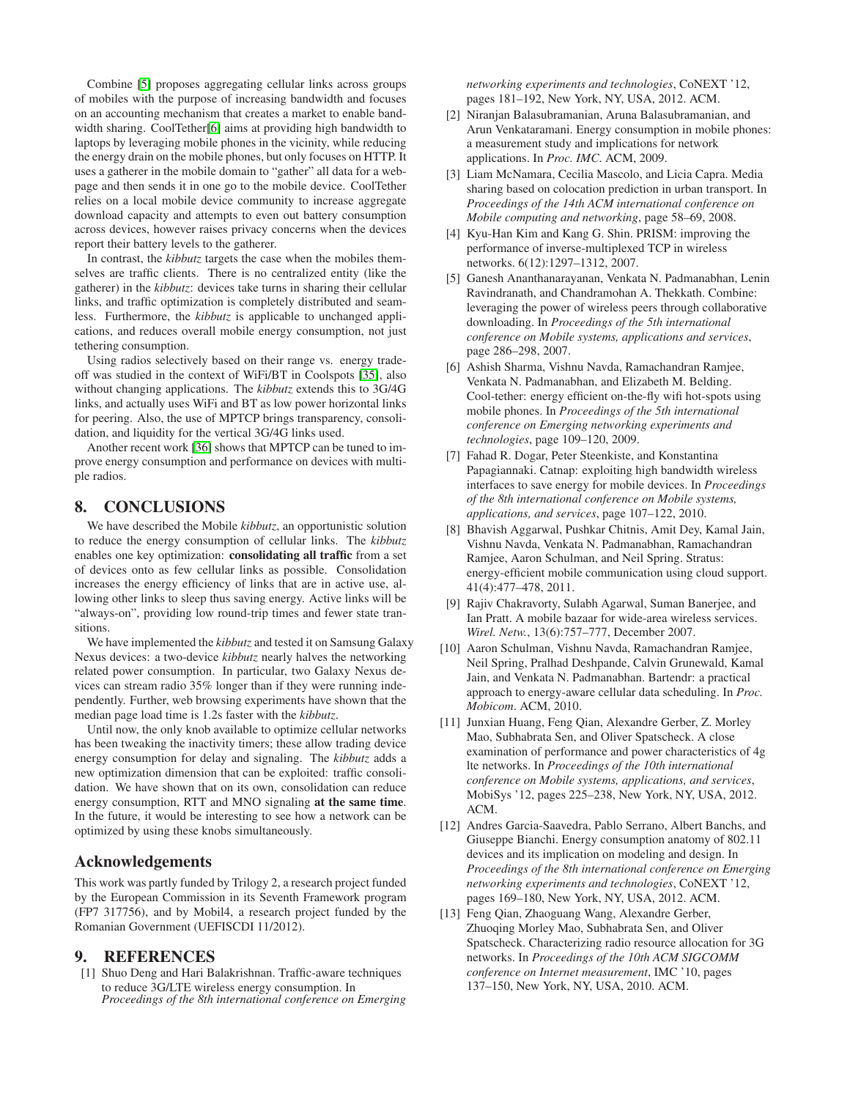Combine [\[5\]](#page-10-4) proposes aggregating cellular links across groups of mobiles with the purpose of increasing bandwidth and focuses on an accounting mechanism that creates a market to enable bandwidth sharing. CoolTether[\[6\]](#page-10-5) aims at providing high bandwidth to laptops by leveraging mobile phones in the vicinity, while reducing the energy drain on the mobile phones, but only focuses on HTTP. It uses a gatherer in the mobile domain to "gather" all data for a webpage and then sends it in one go to the mobile device. CoolTether relies on a local mobile device community to increase aggregate download capacity and attempts to even out battery consumption across devices, however raises privacy concerns when the devices report their battery levels to the gatherer.

In contrast, the *kibbutz* targets the case when the mobiles themselves are traffic clients. There is no centralized entity (like the gatherer) in the *kibbutz*: devices take turns in sharing their cellular links, and traffic optimization is completely distributed and seamless. Furthermore, the *kibbutz* is applicable to unchanged applications, and reduces overall mobile energy consumption, not just tethering consumption.

Using radios selectively based on their range vs. energy tradeoff was studied in the context of WiFi/BT in Coolspots [\[35\]](#page-11-21), also without changing applications. The *kibbutz* extends this to 3G/4G links, and actually uses WiFi and BT as low power horizontal links for peering. Also, the use of MPTCP brings transparency, consolidation, and liquidity for the vertical 3G/4G links used.

Another recent work [\[36\]](#page-11-22) shows that MPTCP can be tuned to improve energy consumption and performance on devices with multiple radios.

# **8. CONCLUSIONS**

We have described the Mobile *kibbutz*, an opportunistic solution to reduce the energy consumption of cellular links. The *kibbutz* enables one key optimization: **consolidating all traffic** from a set of devices onto as few cellular links as possible. Consolidation increases the energy efficiency of links that are in active use, allowing other links to sleep thus saving energy. Active links will be "always-on", providing low round-trip times and fewer state transitions.

We have implemented the *kibbutz* and tested it on Samsung Galaxy Nexus devices: a two-device *kibbutz* nearly halves the networking related power consumption. In particular, two Galaxy Nexus devices can stream radio 35% longer than if they were running independently. Further, web browsing experiments have shown that the median page load time is 1.2s faster with the *kibbutz*.

Until now, the only knob available to optimize cellular networks has been tweaking the inactivity timers; these allow trading device energy consumption for delay and signaling. The *kibbutz* adds a new optimization dimension that can be exploited: traffic consolidation. We have shown that on its own, consolidation can reduce energy consumption, RTT and MNO signaling **at the same time**. In the future, it would be interesting to see how a network can be optimized by using these knobs simultaneously.

# **Acknowledgements**

This work was partly funded by Trilogy 2, a research project funded by the European Commission in its Seventh Framework program (FP7 317756), and by Mobil4, a research project funded by the Romanian Government (UEFISCDI 11/2012).

#### <span id="page-10-0"></span>**9. REFERENCES**

[1] Shuo Deng and Hari Balakrishnan. Traffic-aware techniques to reduce 3G/LTE wireless energy consumption. In *Proceedings of the 8th international conference on Emerging* *networking experiments and technologies*, CoNEXT '12, pages 181–192, New York, NY, USA, 2012. ACM.

- <span id="page-10-1"></span>[2] Niranjan Balasubramanian, Aruna Balasubramanian, and Arun Venkataramani. Energy consumption in mobile phones: a measurement study and implications for network applications. In *Proc. IMC*. ACM, 2009.
- <span id="page-10-2"></span>[3] Liam McNamara, Cecilia Mascolo, and Licia Capra. Media sharing based on colocation prediction in urban transport. In *Proceedings of the 14th ACM international conference on Mobile computing and networking*, page 58–69, 2008.
- <span id="page-10-3"></span>[4] Kyu-Han Kim and Kang G. Shin. PRISM: improving the performance of inverse-multiplexed TCP in wireless networks. 6(12):1297–1312, 2007.
- <span id="page-10-4"></span>[5] Ganesh Ananthanarayanan, Venkata N. Padmanabhan, Lenin Ravindranath, and Chandramohan A. Thekkath. Combine: leveraging the power of wireless peers through collaborative downloading. In *Proceedings of the 5th international conference on Mobile systems, applications and services*, page 286–298, 2007.
- <span id="page-10-5"></span>[6] Ashish Sharma, Vishnu Navda, Ramachandran Ramjee, Venkata N. Padmanabhan, and Elizabeth M. Belding. Cool-tether: energy efficient on-the-fly wifi hot-spots using mobile phones. In *Proceedings of the 5th international conference on Emerging networking experiments and technologies*, page 109–120, 2009.
- <span id="page-10-6"></span>[7] Fahad R. Dogar, Peter Steenkiste, and Konstantina Papagiannaki. Catnap: exploiting high bandwidth wireless interfaces to save energy for mobile devices. In *Proceedings of the 8th international conference on Mobile systems, applications, and services*, page 107–122, 2010.
- <span id="page-10-7"></span>[8] Bhavish Aggarwal, Pushkar Chitnis, Amit Dey, Kamal Jain, Vishnu Navda, Venkata N. Padmanabhan, Ramachandran Ramjee, Aaron Schulman, and Neil Spring. Stratus: energy-efficient mobile communication using cloud support. 41(4):477–478, 2011.
- <span id="page-10-8"></span>[9] Rajiv Chakravorty, Sulabh Agarwal, Suman Banerjee, and Ian Pratt. A mobile bazaar for wide-area wireless services. *Wirel. Netw.*, 13(6):757–777, December 2007.
- <span id="page-10-9"></span>[10] Aaron Schulman, Vishnu Navda, Ramachandran Ramjee, Neil Spring, Pralhad Deshpande, Calvin Grunewald, Kamal Jain, and Venkata N. Padmanabhan. Bartendr: a practical approach to energy-aware cellular data scheduling. In *Proc. Mobicom*. ACM, 2010.
- <span id="page-10-10"></span>[11] Junxian Huang, Feng Qian, Alexandre Gerber, Z. Morley Mao, Subhabrata Sen, and Oliver Spatscheck. A close examination of performance and power characteristics of 4g lte networks. In *Proceedings of the 10th international conference on Mobile systems, applications, and services*, MobiSys '12, pages 225–238, New York, NY, USA, 2012. ACM.
- <span id="page-10-11"></span>[12] Andres Garcia-Saavedra, Pablo Serrano, Albert Banchs, and Giuseppe Bianchi. Energy consumption anatomy of 802.11 devices and its implication on modeling and design. In *Proceedings of the 8th international conference on Emerging networking experiments and technologies*, CoNEXT '12, pages 169–180, New York, NY, USA, 2012. ACM.
- <span id="page-10-12"></span>[13] Feng Qian, Zhaoguang Wang, Alexandre Gerber, Zhuoqing Morley Mao, Subhabrata Sen, and Oliver Spatscheck. Characterizing radio resource allocation for 3G networks. In *Proceedings of the 10th ACM SIGCOMM conference on Internet measurement*, IMC '10, pages 137–150, New York, NY, USA, 2010. ACM.